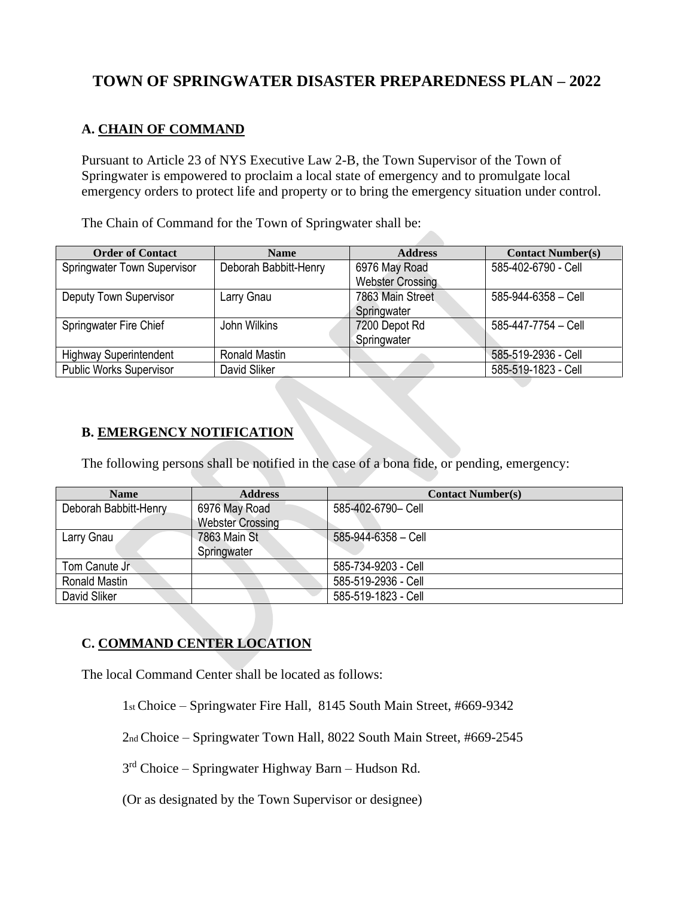# **TOWN OF SPRINGWATER DISASTER PREPAREDNESS PLAN – 2022**

## **A. CHAIN OF COMMAND**

Pursuant to Article 23 of NYS Executive Law 2-B, the Town Supervisor of the Town of Springwater is empowered to proclaim a local state of emergency and to promulgate local emergency orders to protect life and property or to bring the emergency situation under control.

The Chain of Command for the Town of Springwater shall be:

| <b>Order of Contact</b>        | <b>Name</b>           | <b>Address</b>          | <b>Contact Number(s)</b> |
|--------------------------------|-----------------------|-------------------------|--------------------------|
| Springwater Town Supervisor    | Deborah Babbitt-Henry | 6976 May Road           | 585-402-6790 - Cell      |
|                                |                       | <b>Webster Crossing</b> |                          |
| Deputy Town Supervisor         | Larry Gnau            | 7863 Main Street        | 585-944-6358 - Cell      |
|                                |                       | Springwater             |                          |
| Springwater Fire Chief         | John Wilkins          | 7200 Depot Rd           | 585-447-7754 - Cell      |
|                                |                       | Springwater             |                          |
| <b>Highway Superintendent</b>  | <b>Ronald Mastin</b>  |                         | 585-519-2936 - Cell      |
| <b>Public Works Supervisor</b> | David Sliker          |                         | 585-519-1823 - Cell      |

#### **B. EMERGENCY NOTIFICATION**

The following persons shall be notified in the case of a bona fide, or pending, emergency:

| <b>Name</b>           | <b>Address</b>          | <b>Contact Number(s)</b>  |
|-----------------------|-------------------------|---------------------------|
| Deborah Babbitt-Henry | 6976 May Road           | 585-402-6790- Cell        |
|                       | <b>Webster Crossing</b> |                           |
| Larry Gnau            | 7863 Main St            | $585 - 944 - 6358 -$ Cell |
|                       | Springwater             |                           |
| Tom Canute Jr         |                         | 585-734-9203 - Cell       |
| Ronald Mastin         |                         | 585-519-2936 - Cell       |
| David Sliker          |                         | 585-519-1823 - Cell       |

# **C. COMMAND CENTER LOCATION**

The local Command Center shall be located as follows:

1st Choice – Springwater Fire Hall, 8145 South Main Street, #669-9342

2nd Choice – Springwater Town Hall, 8022 South Main Street, #669-2545

 $3<sup>rd</sup>$  Choice – Springwater Highway Barn – Hudson Rd.

(Or as designated by the Town Supervisor or designee)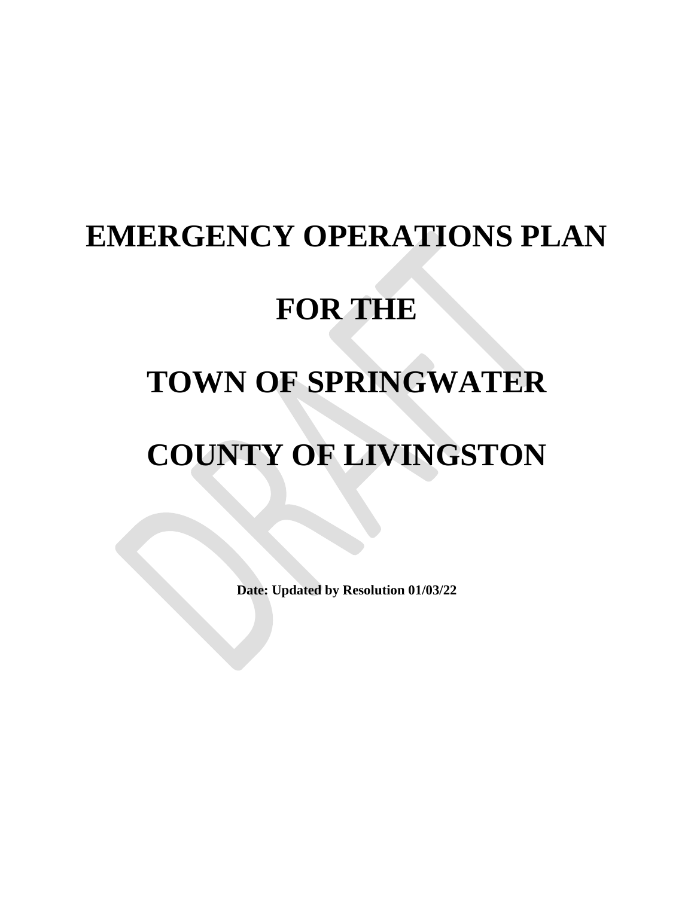# **EMERGENCY OPERATIONS PLAN**

# **FOR THE**

# **TOWN OF SPRINGWATER**

# **COUNTY OF LIVINGSTON**

**Date: Updated by Resolution 01/03/22**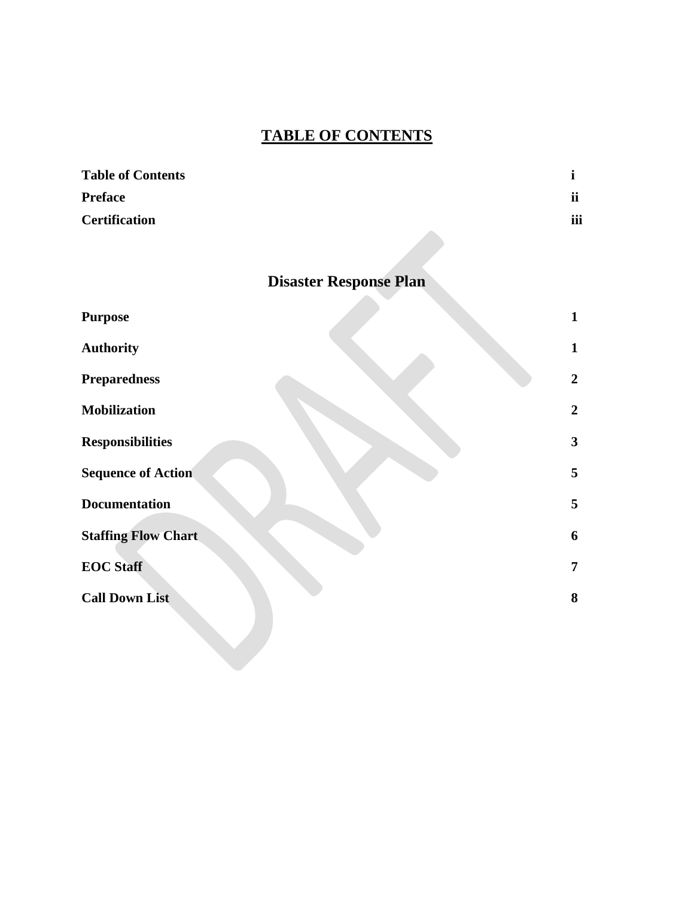# **TABLE OF CONTENTS**

| <b>Table of Contents</b> |           |
|--------------------------|-----------|
| <b>Preface</b>           | <b>ii</b> |
| <b>Certification</b>     | iii       |

# **Disaster Response Plan**

 $\mathcal{L}_{\mathcal{A}}$ 

| <b>Purpose</b>             | $\mathbf{1}$   |
|----------------------------|----------------|
| <b>Authority</b>           | $\mathbf{1}$   |
| <b>Preparedness</b>        | $\overline{2}$ |
| <b>Mobilization</b>        | $\overline{2}$ |
| <b>Responsibilities</b>    | 3              |
| <b>Sequence of Action</b>  | 5              |
| <b>Documentation</b>       | 5              |
| <b>Staffing Flow Chart</b> | 6              |
| <b>EOC Staff</b>           | $\overline{7}$ |
| <b>Call Down List</b>      | 8              |
|                            |                |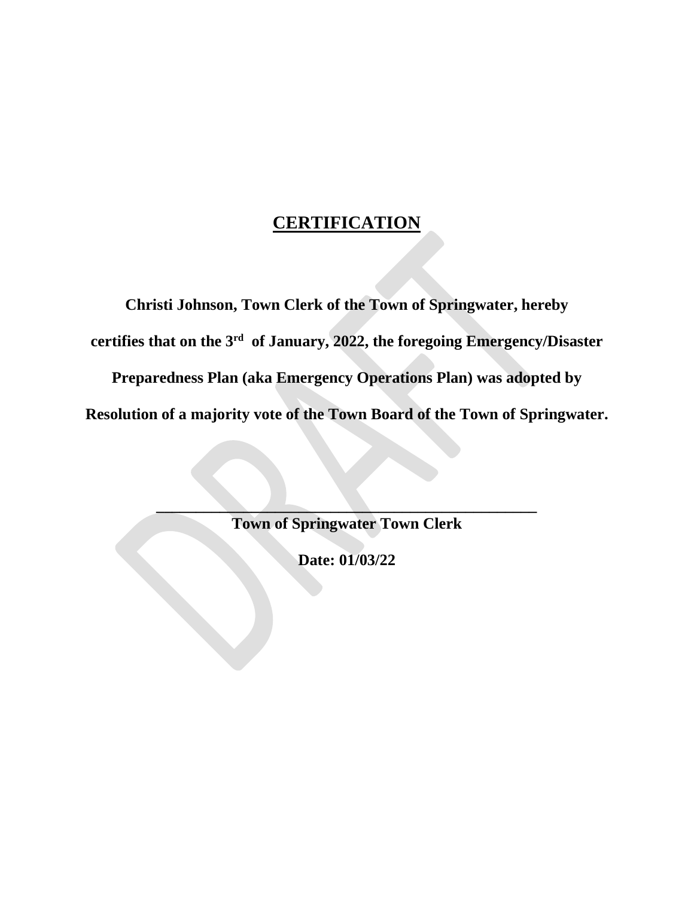# **CERTIFICATION**

**Christi Johnson, Town Clerk of the Town of Springwater, hereby certifies that on the 3 rd of January, 2022, the foregoing Emergency/Disaster**

**Preparedness Plan (aka Emergency Operations Plan) was adopted by Resolution of a majority vote of the Town Board of the Town of Springwater.**

> **\_\_\_\_\_\_\_\_\_\_\_\_\_\_\_\_\_\_\_\_\_\_\_\_\_\_\_\_\_\_\_\_\_\_\_\_\_\_\_\_\_\_\_\_\_\_\_\_ Town of Springwater Town Clerk**

> > **Date: 01/03/22**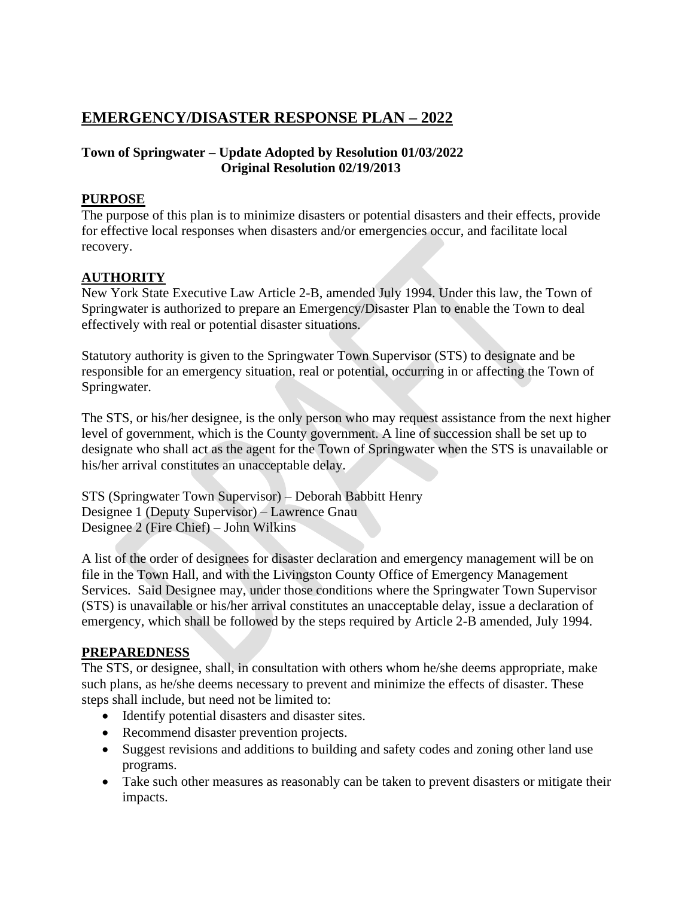# **EMERGENCY/DISASTER RESPONSE PLAN – 2022**

## **Town of Springwater – Update Adopted by Resolution 01/03/2022 Original Resolution 02/19/2013**

### **PURPOSE**

The purpose of this plan is to minimize disasters or potential disasters and their effects, provide for effective local responses when disasters and/or emergencies occur, and facilitate local recovery.

## **AUTHORITY**

New York State Executive Law Article 2-B, amended July 1994. Under this law, the Town of Springwater is authorized to prepare an Emergency/Disaster Plan to enable the Town to deal effectively with real or potential disaster situations.

Statutory authority is given to the Springwater Town Supervisor (STS) to designate and be responsible for an emergency situation, real or potential, occurring in or affecting the Town of Springwater.

The STS, or his/her designee, is the only person who may request assistance from the next higher level of government, which is the County government. A line of succession shall be set up to designate who shall act as the agent for the Town of Springwater when the STS is unavailable or his/her arrival constitutes an unacceptable delay.

STS (Springwater Town Supervisor) – Deborah Babbitt Henry Designee 1 (Deputy Supervisor) – Lawrence Gnau Designee 2 (Fire Chief) – John Wilkins

A list of the order of designees for disaster declaration and emergency management will be on file in the Town Hall, and with the Livingston County Office of Emergency Management Services. Said Designee may, under those conditions where the Springwater Town Supervisor (STS) is unavailable or his/her arrival constitutes an unacceptable delay, issue a declaration of emergency, which shall be followed by the steps required by Article 2-B amended, July 1994.

#### **PREPAREDNESS**

The STS, or designee, shall, in consultation with others whom he/she deems appropriate, make such plans, as he/she deems necessary to prevent and minimize the effects of disaster. These steps shall include, but need not be limited to:

- Identify potential disasters and disaster sites.
- Recommend disaster prevention projects.
- Suggest revisions and additions to building and safety codes and zoning other land use programs.
- Take such other measures as reasonably can be taken to prevent disasters or mitigate their impacts.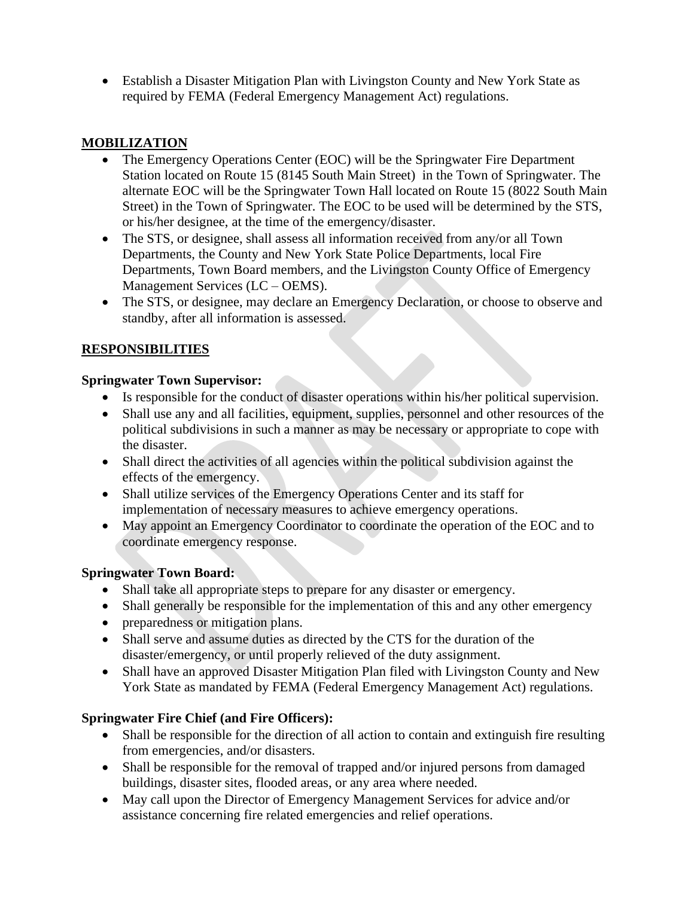• Establish a Disaster Mitigation Plan with Livingston County and New York State as required by FEMA (Federal Emergency Management Act) regulations.

## **MOBILIZATION**

- The Emergency Operations Center (EOC) will be the Springwater Fire Department Station located on Route 15 (8145 South Main Street) in the Town of Springwater. The alternate EOC will be the Springwater Town Hall located on Route 15 (8022 South Main Street) in the Town of Springwater. The EOC to be used will be determined by the STS, or his/her designee, at the time of the emergency/disaster.
- The STS, or designee, shall assess all information received from any/or all Town Departments, the County and New York State Police Departments, local Fire Departments, Town Board members, and the Livingston County Office of Emergency Management Services (LC – OEMS).
- The STS, or designee, may declare an Emergency Declaration, or choose to observe and standby, after all information is assessed.

# **RESPONSIBILITIES**

## **Springwater Town Supervisor:**

- Is responsible for the conduct of disaster operations within his/her political supervision.
- Shall use any and all facilities, equipment, supplies, personnel and other resources of the political subdivisions in such a manner as may be necessary or appropriate to cope with the disaster.
- Shall direct the activities of all agencies within the political subdivision against the effects of the emergency.
- Shall utilize services of the Emergency Operations Center and its staff for implementation of necessary measures to achieve emergency operations.
- May appoint an Emergency Coordinator to coordinate the operation of the EOC and to coordinate emergency response.

## **Springwater Town Board:**

- Shall take all appropriate steps to prepare for any disaster or emergency.
- Shall generally be responsible for the implementation of this and any other emergency
- preparedness or mitigation plans.
- Shall serve and assume duties as directed by the CTS for the duration of the disaster/emergency, or until properly relieved of the duty assignment.
- Shall have an approved Disaster Mitigation Plan filed with Livingston County and New York State as mandated by FEMA (Federal Emergency Management Act) regulations.

# **Springwater Fire Chief (and Fire Officers):**

- Shall be responsible for the direction of all action to contain and extinguish fire resulting from emergencies, and/or disasters.
- Shall be responsible for the removal of trapped and/or injured persons from damaged buildings, disaster sites, flooded areas, or any area where needed.
- May call upon the Director of Emergency Management Services for advice and/or assistance concerning fire related emergencies and relief operations.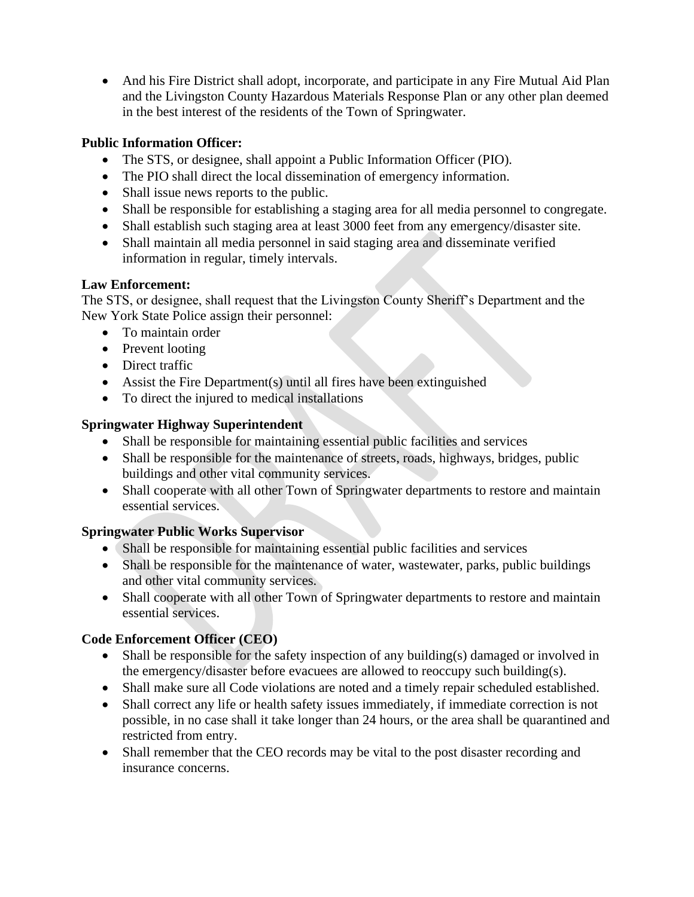• And his Fire District shall adopt, incorporate, and participate in any Fire Mutual Aid Plan and the Livingston County Hazardous Materials Response Plan or any other plan deemed in the best interest of the residents of the Town of Springwater.

### **Public Information Officer:**

- The STS, or designee, shall appoint a Public Information Officer (PIO).
- The PIO shall direct the local dissemination of emergency information.
- Shall issue news reports to the public.
- Shall be responsible for establishing a staging area for all media personnel to congregate.
- Shall establish such staging area at least 3000 feet from any emergency/disaster site.
- Shall maintain all media personnel in said staging area and disseminate verified information in regular, timely intervals.

#### **Law Enforcement:**

The STS, or designee, shall request that the Livingston County Sheriff's Department and the New York State Police assign their personnel:

- To maintain order
- Prevent looting
- Direct traffic
- Assist the Fire Department(s) until all fires have been extinguished
- To direct the injured to medical installations

#### **Springwater Highway Superintendent**

- Shall be responsible for maintaining essential public facilities and services
- Shall be responsible for the maintenance of streets, roads, highways, bridges, public buildings and other vital community services.
- Shall cooperate with all other Town of Springwater departments to restore and maintain essential services.

#### **Springwater Public Works Supervisor**

- Shall be responsible for maintaining essential public facilities and services
- Shall be responsible for the maintenance of water, wastewater, parks, public buildings and other vital community services.
- Shall cooperate with all other Town of Springwater departments to restore and maintain essential services.

#### **Code Enforcement Officer (CEO)**

- Shall be responsible for the safety inspection of any building(s) damaged or involved in the emergency/disaster before evacuees are allowed to reoccupy such building(s).
- Shall make sure all Code violations are noted and a timely repair scheduled established.
- Shall correct any life or health safety issues immediately, if immediate correction is not possible, in no case shall it take longer than 24 hours, or the area shall be quarantined and restricted from entry.
- Shall remember that the CEO records may be vital to the post disaster recording and insurance concerns.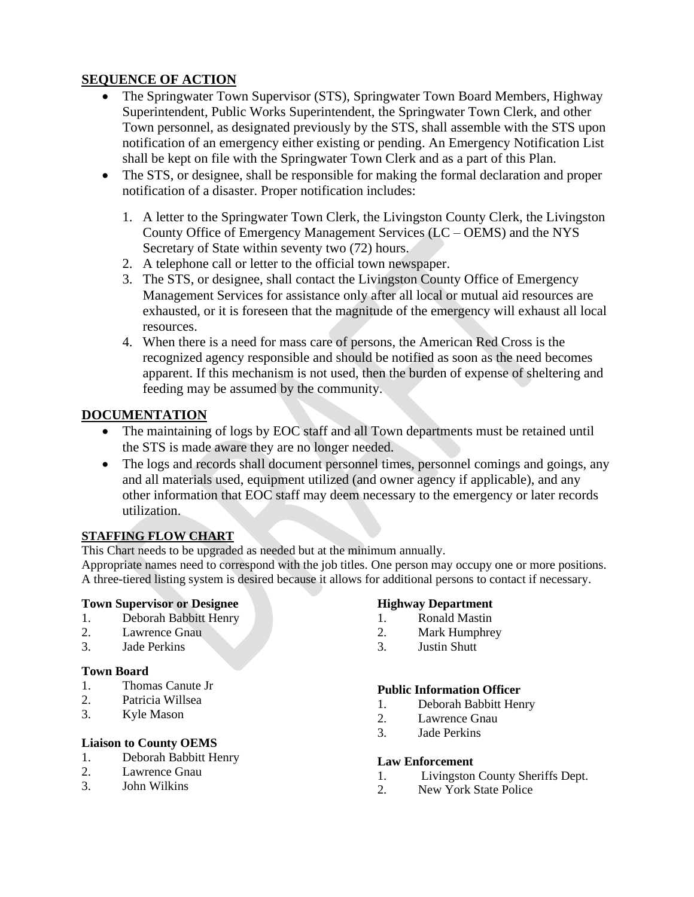## **SEQUENCE OF ACTION**

- The Springwater Town Supervisor (STS), Springwater Town Board Members, Highway Superintendent, Public Works Superintendent, the Springwater Town Clerk, and other Town personnel, as designated previously by the STS, shall assemble with the STS upon notification of an emergency either existing or pending. An Emergency Notification List shall be kept on file with the Springwater Town Clerk and as a part of this Plan.
- The STS, or designee, shall be responsible for making the formal declaration and proper notification of a disaster. Proper notification includes:
	- 1. A letter to the Springwater Town Clerk, the Livingston County Clerk, the Livingston County Office of Emergency Management Services (LC – OEMS) and the NYS Secretary of State within seventy two  $(72)$  hours.
	- 2. A telephone call or letter to the official town newspaper.
	- 3. The STS, or designee, shall contact the Livingston County Office of Emergency Management Services for assistance only after all local or mutual aid resources are exhausted, or it is foreseen that the magnitude of the emergency will exhaust all local resources.
	- 4. When there is a need for mass care of persons, the American Red Cross is the recognized agency responsible and should be notified as soon as the need becomes apparent. If this mechanism is not used, then the burden of expense of sheltering and feeding may be assumed by the community.

#### **DOCUMENTATION**

- The maintaining of logs by EOC staff and all Town departments must be retained until the STS is made aware they are no longer needed.
- The logs and records shall document personnel times, personnel comings and goings, any and all materials used, equipment utilized (and owner agency if applicable), and any other information that EOC staff may deem necessary to the emergency or later records utilization.

#### **STAFFING FLOW CHART**

This Chart needs to be upgraded as needed but at the minimum annually.

Appropriate names need to correspond with the job titles. One person may occupy one or more positions. A three-tiered listing system is desired because it allows for additional persons to contact if necessary.

#### **Town Supervisor or Designee**

- 1. Deborah Babbitt Henry
- 2. Lawrence Gnau
- 3. Jade Perkins

#### **Town Board**

- 1. Thomas Canute Jr
- 2. Patricia Willsea
- 3. Kyle Mason

#### **Liaison to County OEMS**

- 1. Deborah Babbitt Henry
- 2. Lawrence Gnau
- 3. John Wilkins

#### **Highway Department**

- 1. Ronald Mastin
- 2. Mark Humphrey
- 3. Justin Shutt

#### **Public Information Officer**

- 1. Deborah Babbitt Henry
- 2. Lawrence Gnau
- 3. Jade Perkins

#### **Law Enforcement**

- 1. Livingston County Sheriffs Dept.
- 2. New York State Police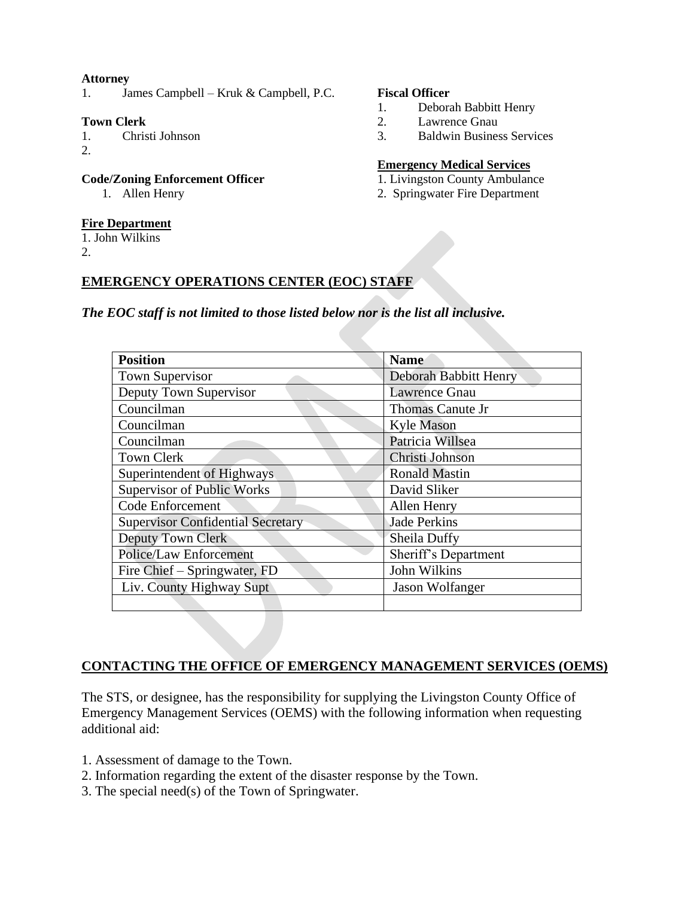#### **Attorney**

1. James Campbell – Kruk & Campbell, P.C.

#### **Town Clerk**

- 1. Christi Johnson
- 2.

#### **Code/Zoning Enforcement Officer**

1. Allen Henry

#### **Fire Department**

1. John Wilkins

2.

#### **Fiscal Officer**

- 1. Deborah Babbitt Henry
- 2. Lawrence Gnau
- 3. Baldwin Business Services

#### **Emergency Medical Services**

- 1. Livingston County Ambulance
- 2. Springwater Fire Department

#### **EMERGENCY OPERATIONS CENTER (EOC) STAFF**

*The EOC staff is not limited to those listed below nor is the list all inclusive.*

| <b>Position</b>                          | <b>Name</b>           |  |
|------------------------------------------|-----------------------|--|
| Town Supervisor                          | Deborah Babbitt Henry |  |
| Deputy Town Supervisor                   | <b>Lawrence Gnau</b>  |  |
| Councilman                               | Thomas Canute Jr      |  |
| Councilman                               | <b>Kyle Mason</b>     |  |
| Councilman                               | Patricia Willsea      |  |
| <b>Town Clerk</b>                        | Christi Johnson       |  |
| Superintendent of Highways               | <b>Ronald Mastin</b>  |  |
| <b>Supervisor of Public Works</b>        | David Sliker          |  |
| Code Enforcement                         | Allen Henry           |  |
| <b>Supervisor Confidential Secretary</b> | <b>Jade Perkins</b>   |  |
| Deputy Town Clerk                        | Sheila Duffy          |  |
| <b>Police/Law Enforcement</b>            | Sheriff's Department  |  |
| Fire Chief – Springwater, FD             | John Wilkins          |  |
| Liv. County Highway Supt                 | Jason Wolfanger       |  |
|                                          |                       |  |

#### **CONTACTING THE OFFICE OF EMERGENCY MANAGEMENT SERVICES (OEMS)**

The STS, or designee, has the responsibility for supplying the Livingston County Office of Emergency Management Services (OEMS) with the following information when requesting additional aid:

- 1. Assessment of damage to the Town.
- 2. Information regarding the extent of the disaster response by the Town.
- 3. The special need(s) of the Town of Springwater.